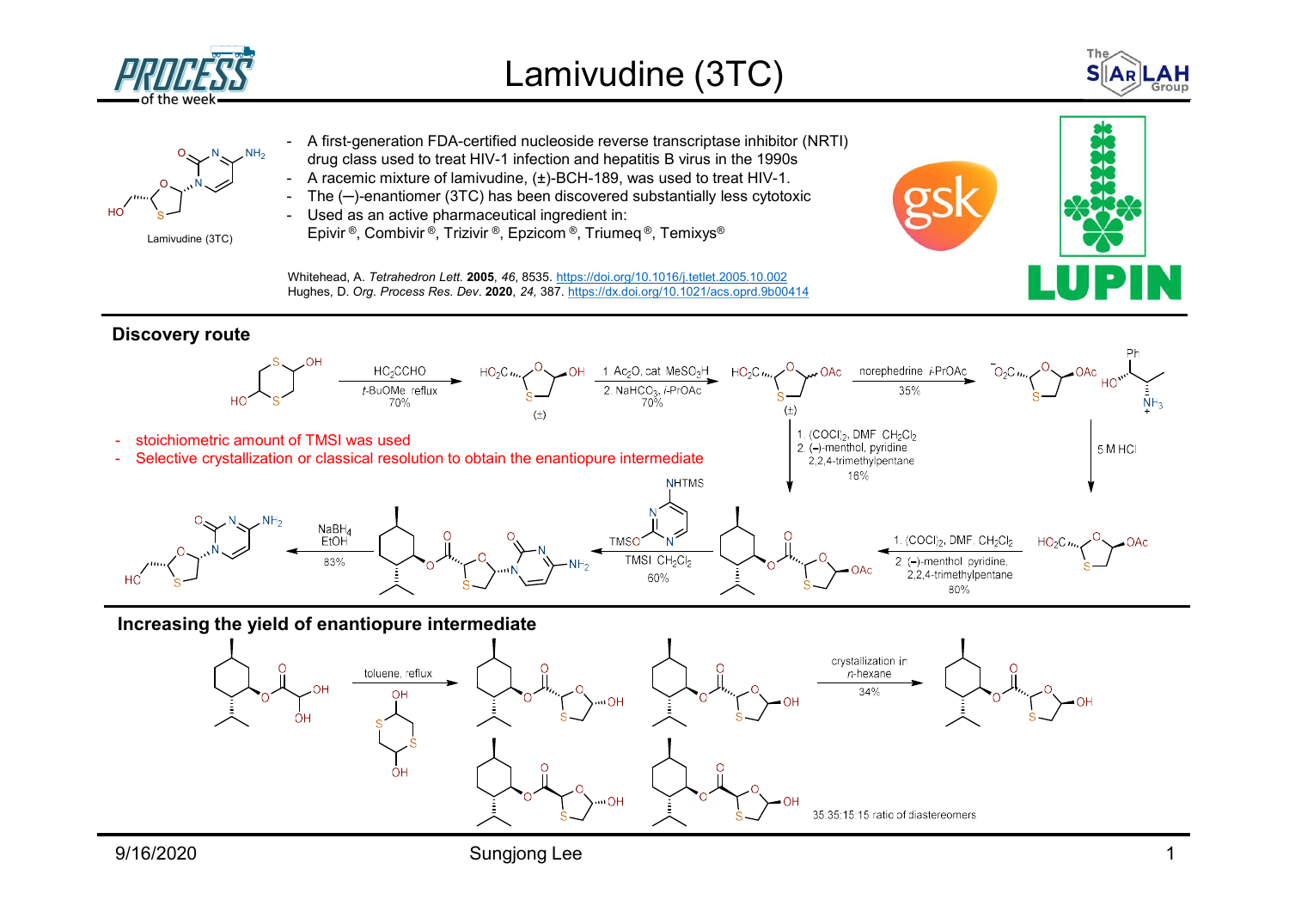





## Discovery route



## Increasing the yield of enantiopure intermediate

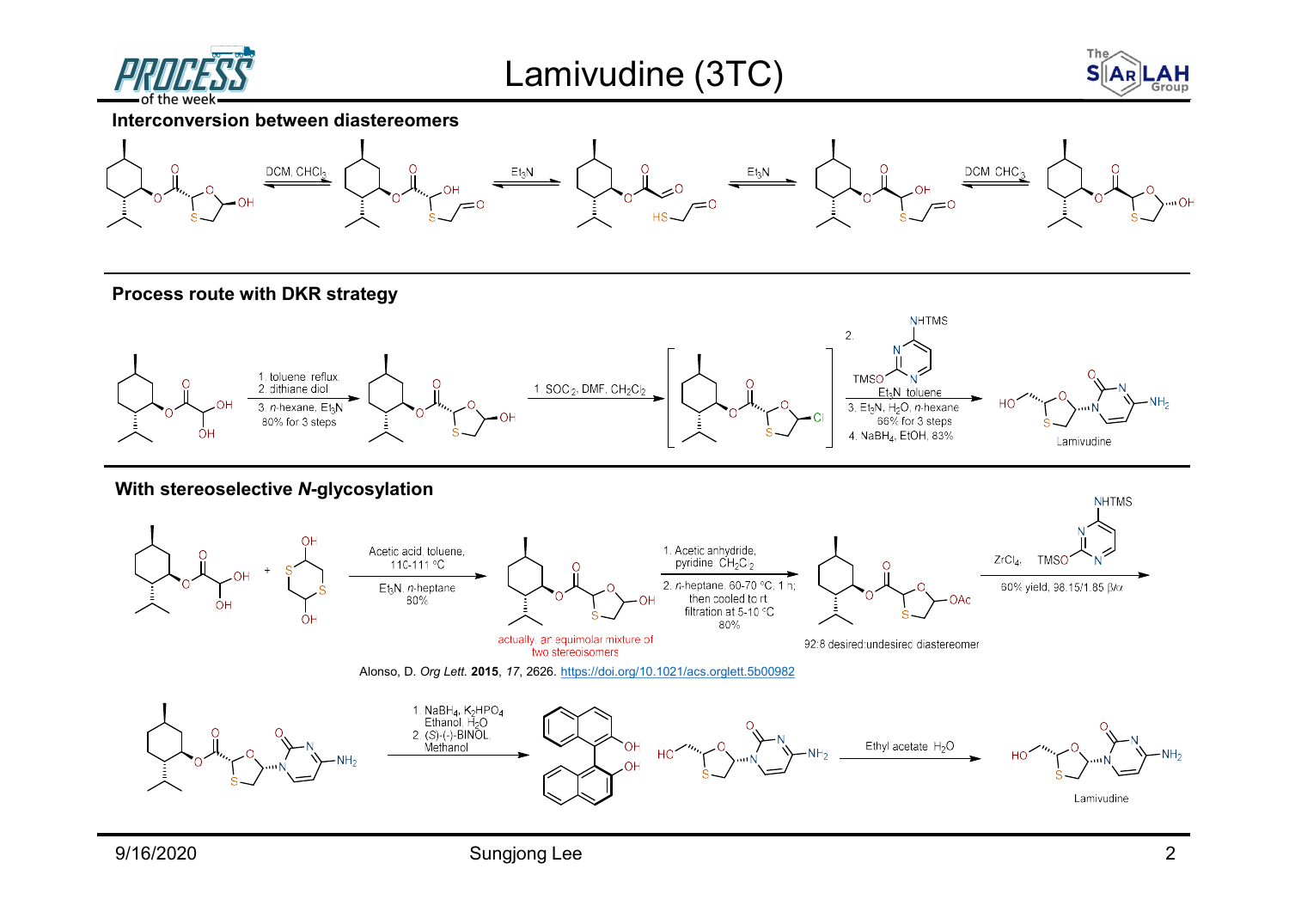







Process route with DKR strategy



With stereoselective N-glycosylation